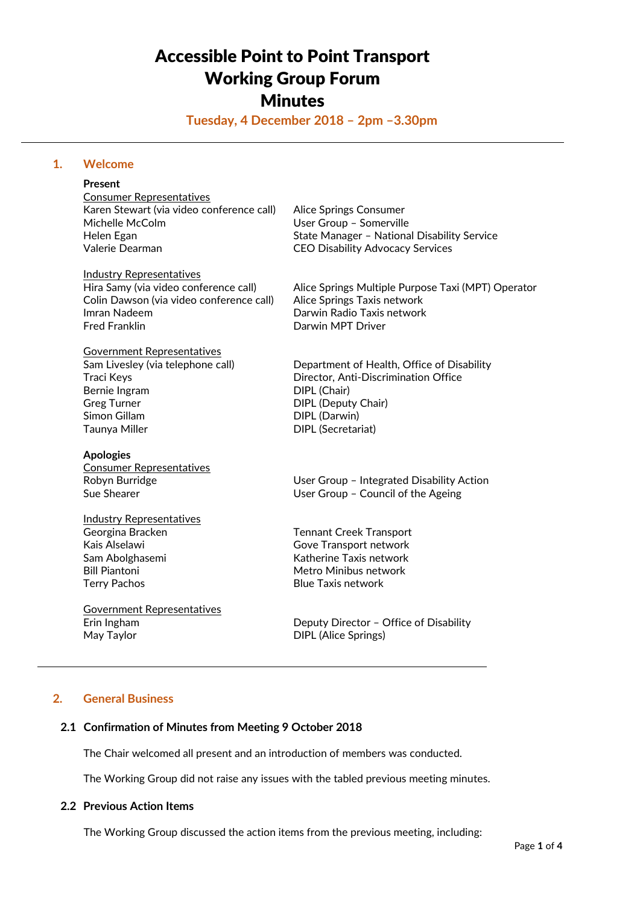# Accessible Point to Point Transport Working Group Forum **Minutes**

**Tuesday, 4 December 2018 – 2pm –3.30pm**

# **1. Welcome**

# **Present**

Consumer Representatives Karen Stewart (via video conference call) Alice Springs Consumer Michelle McColm User Group – Somerville Valerie Dearman CEO Disability Advocacy Services

Industry Representatives Colin Dawson (via video conference call) Alice Springs Taxis network Imran Nadeem **Darwin Radio Taxis network** Fred Franklin Darwin MPT Driver

Government Representatives Bernie Ingram DIPL (Chair) Greg Turner **DIPL** (Deputy Chair) Simon Gillam DIPL (Darwin) Taunya Miller DIPL (Secretariat)

#### **Apologies**

Consumer Representatives

Industry Representatives Bill Piantoni **Metro Minibus network** 

Government Representatives May Taylor **DIPL** (Alice Springs)

Helen Egan North Communisties (State Manager – National Disability Service

Hira Samy (via video conference call) Alice Springs Multiple Purpose Taxi (MPT) Operator

Sam Livesley (via telephone call) Department of Health, Office of Disability Traci Keys Director, Anti-Discrimination Office

Robyn Burridge The User Group – Integrated Disability Action Sue Shearer **Network** Council of the Ageing

Georgina Bracken Tennant Creek Transport Kais Alselawi **Gove Transport network** Sam Abolghasemi **Katherine Taxis network** Terry Pachos **Blue Taxis network** 

Erin Ingham Deputy Director – Office of Disability

# **2. General Business**

# **2.1 Confirmation of Minutes from Meeting 9 October 2018**

The Chair welcomed all present and an introduction of members was conducted.

The Working Group did not raise any issues with the tabled previous meeting minutes.

# **2.2 Previous Action Items**

The Working Group discussed the action items from the previous meeting, including: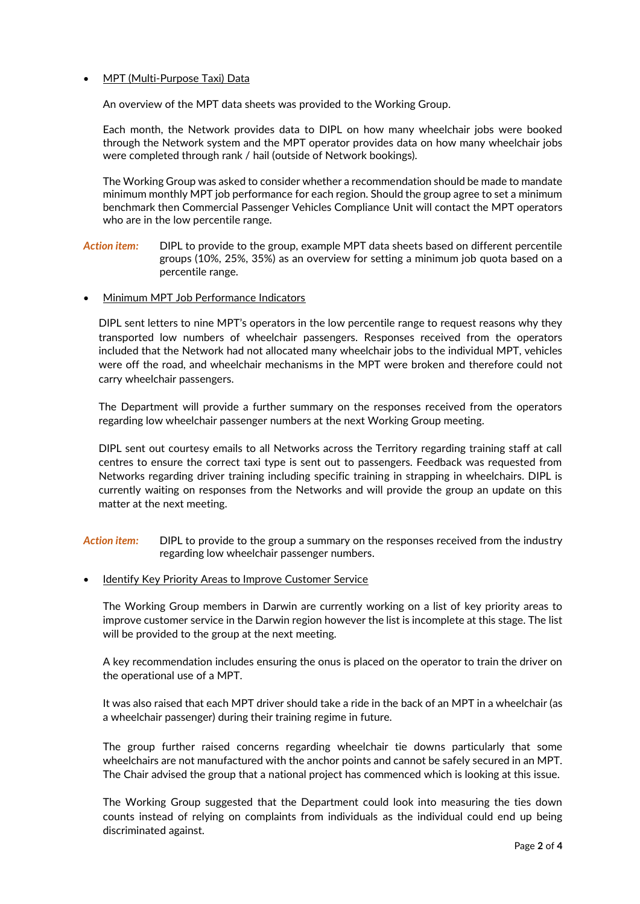# MPT (Multi-Purpose Taxi) Data

An overview of the MPT data sheets was provided to the Working Group.

Each month, the Network provides data to DIPL on how many wheelchair jobs were booked through the Network system and the MPT operator provides data on how many wheelchair jobs were completed through rank / hail (outside of Network bookings).

The Working Group was asked to consider whether a recommendation should be made to mandate minimum monthly MPT job performance for each region. Should the group agree to set a minimum benchmark then Commercial Passenger Vehicles Compliance Unit will contact the MPT operators who are in the low percentile range.

- *Action item:* DIPL to provide to the group, example MPT data sheets based on different percentile groups (10%, 25%, 35%) as an overview for setting a minimum job quota based on a percentile range.
- Minimum MPT Job Performance Indicators

DIPL sent letters to nine MPT's operators in the low percentile range to request reasons why they transported low numbers of wheelchair passengers. Responses received from the operators included that the Network had not allocated many wheelchair jobs to the individual MPT, vehicles were off the road, and wheelchair mechanisms in the MPT were broken and therefore could not carry wheelchair passengers.

The Department will provide a further summary on the responses received from the operators regarding low wheelchair passenger numbers at the next Working Group meeting.

DIPL sent out courtesy emails to all Networks across the Territory regarding training staff at call centres to ensure the correct taxi type is sent out to passengers. Feedback was requested from Networks regarding driver training including specific training in strapping in wheelchairs. DIPL is currently waiting on responses from the Networks and will provide the group an update on this matter at the next meeting.

*Action item:* DIPL to provide to the group a summary on the responses received from the industry regarding low wheelchair passenger numbers.

Identify Key Priority Areas to Improve Customer Service

The Working Group members in Darwin are currently working on a list of key priority areas to improve customer service in the Darwin region however the list is incomplete at this stage. The list will be provided to the group at the next meeting.

A key recommendation includes ensuring the onus is placed on the operator to train the driver on the operational use of a MPT.

It was also raised that each MPT driver should take a ride in the back of an MPT in a wheelchair (as a wheelchair passenger) during their training regime in future.

The group further raised concerns regarding wheelchair tie downs particularly that some wheelchairs are not manufactured with the anchor points and cannot be safely secured in an MPT. The Chair advised the group that a national project has commenced which is looking at this issue.

The Working Group suggested that the Department could look into measuring the ties down counts instead of relying on complaints from individuals as the individual could end up being discriminated against.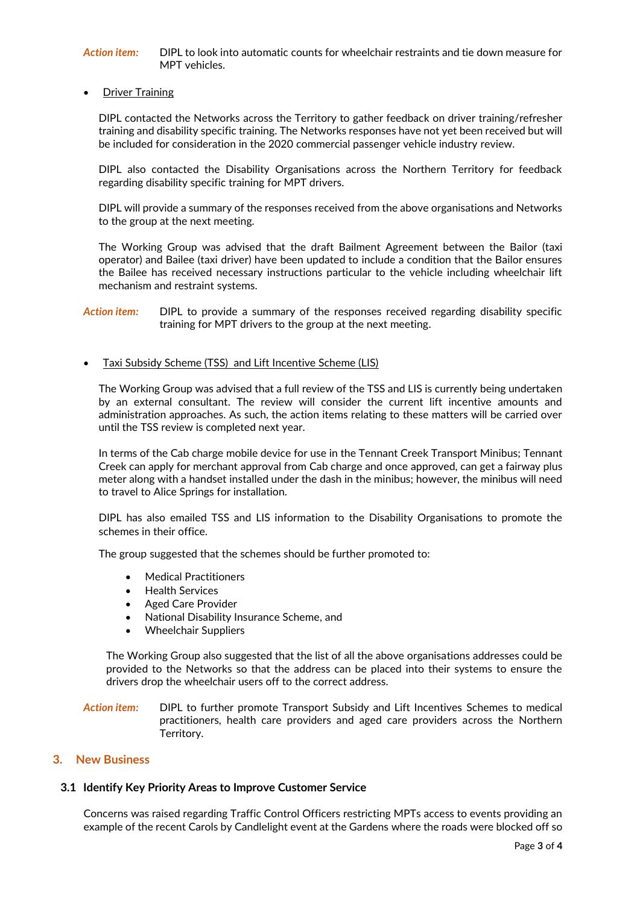### *Action item:* DIPL to look into automatic counts for wheelchair restraints and tie down measure for MPT vehicles.

# Driver Training

DIPL contacted the Networks across the Territory to gather feedback on driver training/refresher training and disability specific training. The Networks responses have not yet been received but will be included for consideration in the 2020 commercial passenger vehicle industry review.

DIPL also contacted the Disability Organisations across the Northern Territory for feedback regarding disability specific training for MPT drivers.

DIPL will provide a summary of the responses received from the above organisations and Networks to the group at the next meeting.

The Working Group was advised that the draft Bailment Agreement between the Bailor (taxi operator) and Bailee (taxi driver) have been updated to include a condition that the Bailor ensures the Bailee has received necessary instructions particular to the vehicle including wheelchair lift mechanism and restraint systems.

# *Action item:* DIPL to provide a summary of the responses received regarding disability specific training for MPT drivers to the group at the next meeting.

Taxi Subsidy Scheme (TSS) and Lift Incentive Scheme (LIS)

The Working Group was advised that a full review of the TSS and LIS is currently being undertaken by an external consultant. The review will consider the current lift incentive amounts and administration approaches. As such, the action items relating to these matters will be carried over until the TSS review is completed next year.

In terms of the Cab charge mobile device for use in the Tennant Creek Transport Minibus; Tennant Creek can apply for merchant approval from Cab charge and once approved, can get a fairway plus meter along with a handset installed under the dash in the minibus; however, the minibus will need to travel to Alice Springs for installation.

DIPL has also emailed TSS and LIS information to the Disability Organisations to promote the schemes in their office.

The group suggested that the schemes should be further promoted to:

- Medical Practitioners
- Health Services
- Aged Care Provider
- National Disability Insurance Scheme, and
- Wheelchair Suppliers

The Working Group also suggested that the list of all the above organisations addresses could be provided to the Networks so that the address can be placed into their systems to ensure the drivers drop the wheelchair users off to the correct address.

*Action item:* DIPL to further promote Transport Subsidy and Lift Incentives Schemes to medical practitioners, health care providers and aged care providers across the Northern Territory.

# **3. New Business**

# **3.1 Identify Key Priority Areas to Improve Customer Service**

Concerns was raised regarding Traffic Control Officers restricting MPTs access to events providing an example of the recent Carols by Candlelight event at the Gardens where the roads were blocked off so